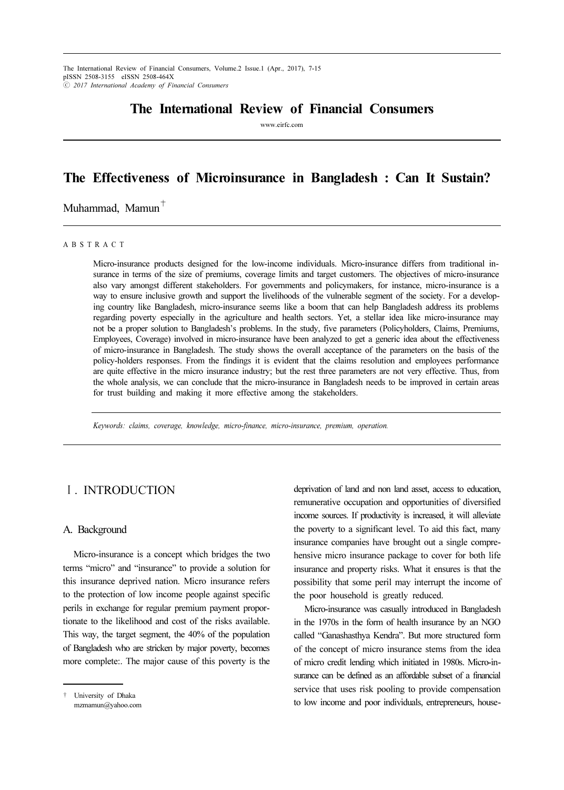The International Review of Financial Consumers, Volume.2 Issue.1 (Apr., 2017), 7-15 pISSN 2508-3155 eISSN 2508-464X ⓒ 2017 International Academy of Financial Consumers

# The International Review of Financial Consumers

www.eirfc.com

# The Effectiveness of Microinsurance in Bangladesh : Can It Sustain?

Muhammad, Mamun<sup>+</sup>

#### A B S T R A C T

Micro-insurance products designed for the low-income individuals. Micro-insurance differs from traditional insurance in terms of the size of premiums, coverage limits and target customers. The objectives of micro-insurance also vary amongst different stakeholders. For governments and policymakers, for instance, micro-insurance is a way to ensure inclusive growth and support the livelihoods of the vulnerable segment of the society. For a developing country like Bangladesh, micro-insurance seems like a boom that can help Bangladesh address its problems regarding poverty especially in the agriculture and health sectors. Yet, a stellar idea like micro-insurance may not be a proper solution to Bangladesh's problems. In the study, five parameters (Policyholders, Claims, Premiums, Employees, Coverage) involved in micro-insurance have been analyzed to get a generic idea about the effectiveness of micro-insurance in Bangladesh. The study shows the overall acceptance of the parameters on the basis of the policy-holders responses. From the findings it is evident that the claims resolution and employees performance are quite effective in the micro insurance industry; but the rest three parameters are not very effective. Thus, from the whole analysis, we can conclude that the micro-insurance in Bangladesh needs to be improved in certain areas for trust building and making it more effective among the stakeholders.

Keywords: claims, coverage, knowledge, micro-finance, micro-insurance, premium, operation.

## Ⅰ. INTRODUCTION

#### A. Background

Micro-insurance is a concept which bridges the two terms "micro" and "insurance" to provide a solution for this insurance deprived nation. Micro insurance refers to the protection of low income people against specific perils in exchange for regular premium payment proportionate to the likelihood and cost of the risks available. This way, the target segment, the 40% of the population of Bangladesh who are stricken by major poverty, becomes more complete:. The major cause of this poverty is the

† University of Dhaka mzmamun@yahoo.com deprivation of land and non land asset, access to education, remunerative occupation and opportunities of diversified income sources. If productivity is increased, it will alleviate the poverty to a significant level. To aid this fact, many insurance companies have brought out a single comprehensive micro insurance package to cover for both life insurance and property risks. What it ensures is that the possibility that some peril may interrupt the income of the poor household is greatly reduced.

Micro-insurance was casually introduced in Bangladesh in the 1970s in the form of health insurance by an NGO called "Ganashasthya Kendra". But more structured form of the concept of micro insurance stems from the idea of micro credit lending which initiated in 1980s. Micro-insurance can be defined as an affordable subset of a financial service that uses risk pooling to provide compensation to low income and poor individuals, entrepreneurs, house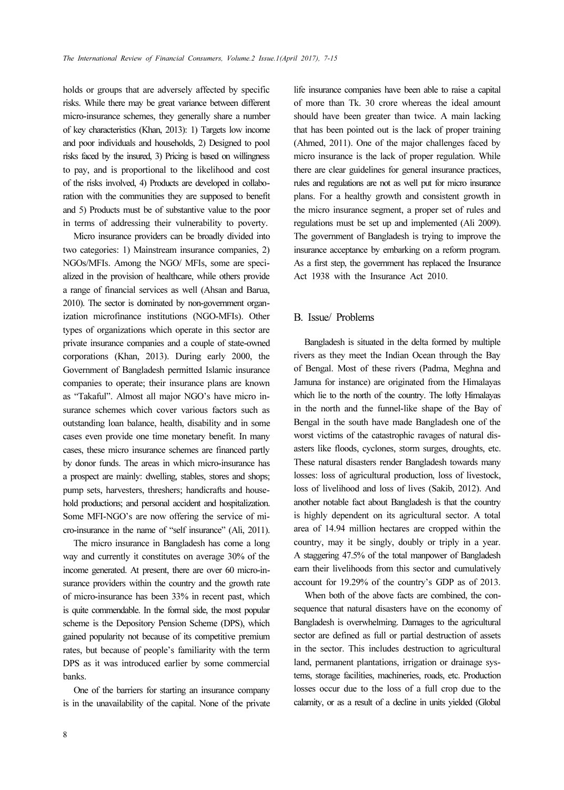holds or groups that are adversely affected by specific risks. While there may be great variance between different micro-insurance schemes, they generally share a number of key characteristics (Khan, 2013): 1) Targets low income and poor individuals and households, 2) Designed to pool risks faced by the insured, 3) Pricing is based on willingness to pay, and is proportional to the likelihood and cost of the risks involved, 4) Products are developed in collaboration with the communities they are supposed to benefit and 5) Products must be of substantive value to the poor in terms of addressing their vulnerability to poverty.

Micro insurance providers can be broadly divided into two categories: 1) Mainstream insurance companies, 2) NGOs/MFIs. Among the NGO/ MFIs, some are specialized in the provision of healthcare, while others provide a range of financial services as well (Ahsan and Barua, 2010). The sector is dominated by non-government organization microfinance institutions (NGO-MFIs). Other types of organizations which operate in this sector are private insurance companies and a couple of state-owned corporations (Khan, 2013). During early 2000, the Government of Bangladesh permitted Islamic insurance companies to operate; their insurance plans are known as "Takaful". Almost all major NGO's have micro insurance schemes which cover various factors such as outstanding loan balance, health, disability and in some cases even provide one time monetary benefit. In many cases, these micro insurance schemes are financed partly by donor funds. The areas in which micro-insurance has a prospect are mainly: dwelling, stables, stores and shops; pump sets, harvesters, threshers; handicrafts and household productions; and personal accident and hospitalization. Some MFI-NGO's are now offering the service of micro-insurance in the name of "self insurance" (Ali, 2011).

The micro insurance in Bangladesh has come a long way and currently it constitutes on average 30% of the income generated. At present, there are over 60 micro-insurance providers within the country and the growth rate of micro-insurance has been 33% in recent past, which is quite commendable. In the formal side, the most popular scheme is the Depository Pension Scheme (DPS), which gained popularity not because of its competitive premium rates, but because of people's familiarity with the term DPS as it was introduced earlier by some commercial banks.

One of the barriers for starting an insurance company is in the unavailability of the capital. None of the private life insurance companies have been able to raise a capital of more than Tk. 30 crore whereas the ideal amount should have been greater than twice. A main lacking that has been pointed out is the lack of proper training (Ahmed, 2011). One of the major challenges faced by micro insurance is the lack of proper regulation. While there are clear guidelines for general insurance practices, rules and regulations are not as well put for micro insurance plans. For a healthy growth and consistent growth in the micro insurance segment, a proper set of rules and regulations must be set up and implemented (Ali 2009). The government of Bangladesh is trying to improve the insurance acceptance by embarking on a reform program. As a first step, the government has replaced the Insurance Act 1938 with the Insurance Act 2010.

### B. Issue/ Problems

Bangladesh is situated in the delta formed by multiple rivers as they meet the Indian Ocean through the Bay of Bengal. Most of these rivers (Padma, Meghna and Jamuna for instance) are originated from the Himalayas which lie to the north of the country. The lofty Himalayas in the north and the funnel-like shape of the Bay of Bengal in the south have made Bangladesh one of the worst victims of the catastrophic ravages of natural disasters like floods, cyclones, storm surges, droughts, etc. These natural disasters render Bangladesh towards many losses: loss of agricultural production, loss of livestock, loss of livelihood and loss of lives (Sakib, 2012). And another notable fact about Bangladesh is that the country is highly dependent on its agricultural sector. A total area of 14.94 million hectares are cropped within the country, may it be singly, doubly or triply in a year. A staggering 47.5% of the total manpower of Bangladesh earn their livelihoods from this sector and cumulatively account for 19.29% of the country's GDP as of 2013.

When both of the above facts are combined, the consequence that natural disasters have on the economy of Bangladesh is overwhelming. Damages to the agricultural sector are defined as full or partial destruction of assets in the sector. This includes destruction to agricultural land, permanent plantations, irrigation or drainage systems, storage facilities, machineries, roads, etc. Production losses occur due to the loss of a full crop due to the calamity, or as a result of a decline in units yielded (Global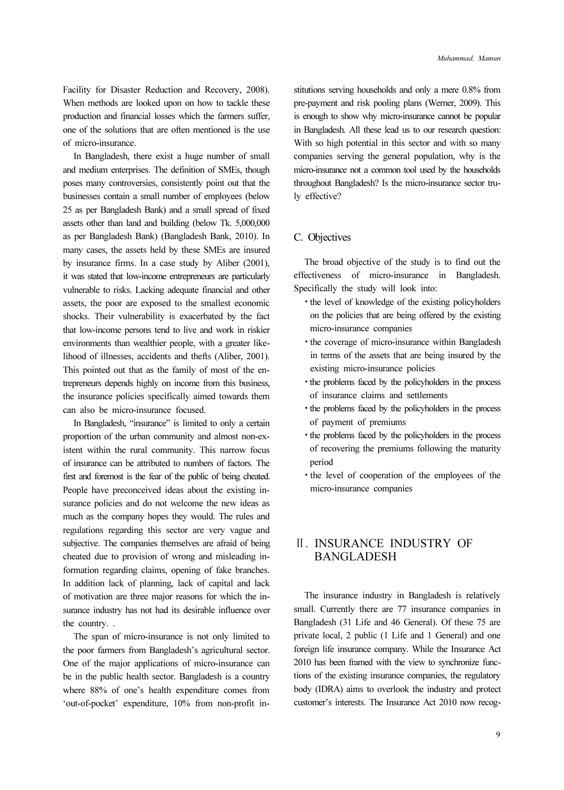Facility for Disaster Reduction and Recovery, 2008). When methods are looked upon on how to tackle these production and financial losses which the farmers suffer, one of the solutions that are often mentioned is the use of micro-insurance.

In Bangladesh, there exist a huge number of small and medium enterprises. The definition of SMEs, though poses many controversies, consistently point out that the businesses contain a small number of employees (below 25 as per Bangladesh Bank) and a small spread of fixed assets other than land and building (below Tk. 5,000,000 as per Bangladesh Bank) (Bangladesh Bank, 2010). In many cases, the assets held by these SMEs are insured by insurance firms. In a case study by Aliber (2001), it was stated that low-income entrepreneurs are particularly vulnerable to risks. Lacking adequate financial and other assets, the poor are exposed to the smallest economic shocks. Their vulnerability is exacerbated by the fact that low-income persons tend to live and work in riskier environments than wealthier people, with a greater likelihood of illnesses, accidents and thefts (Aliber, 2001). This pointed out that as the family of most of the entrepreneurs depends highly on income from this business, the insurance policies specifically aimed towards them can also be micro-insurance focused.

In Bangladesh, "insurance" is limited to only a certain proportion of the urban community and almost non-existent within the rural community. This narrow focus of insurance can be attributed to numbers of factors. The first and foremost is the fear of the public of being cheated. People have preconceived ideas about the existing insurance policies and do not welcome the new ideas as much as the company hopes they would. The rules and regulations regarding this sector are very vague and subjective. The companies themselves are afraid of being cheated due to provision of wrong and misleading information regarding claims, opening of fake branches. In addition lack of planning, lack of capital and lack of motivation are three major reasons for which the insurance industry has not had its desirable influence over the country. .

The span of micro-insurance is not only limited to the poor farmers from Bangladesh's agricultural sector. One of the major applications of micro-insurance can be in the public health sector. Bangladesh is a country where 88% of one's health expenditure comes from 'out-of-pocket' expenditure, 10% from non-profit institutions serving households and only a mere 0.8% from pre-payment and risk pooling plans (Werner, 2009). This is enough to show why micro-insurance cannot be popular in Bangladesh. All these lead us to our research question: With so high potential in this sector and with so many companies serving the general population, why is the micro-insurance not a common tool used by the households throughout Bangladesh? Is the micro-insurance sector truly effective?

### C. Objectives

The broad objective of the study is to find out the effectiveness of micro-insurance in Bangladesh. Specifically the study will look into:

- the level of knowledge of the existing policyholders on the policies that are being offered by the existing micro-insurance companies
- the coverage of micro-insurance within Bangladesh in terms of the assets that are being insured by the existing micro-insurance policies
- the problems faced by the policyholders in the process of insurance claims and settlements
- the problems faced by the policyholders in the process of payment of premiums
- the problems faced by the policyholders in the process of recovering the premiums following the maturity period
- the level of cooperation of the employees of the micro-insurance companies

## Ⅱ. INSURANCE INDUSTRY OF BANGLADESH

The insurance industry in Bangladesh is relatively small. Currently there are 77 insurance companies in Bangladesh (31 Life and 46 General). Of these 75 are private local, 2 public (1 Life and 1 General) and one foreign life insurance company. While the Insurance Act 2010 has been framed with the view to synchronize functions of the existing insurance companies, the regulatory body (IDRA) aims to overlook the industry and protect customer's interests. The Insurance Act 2010 now recog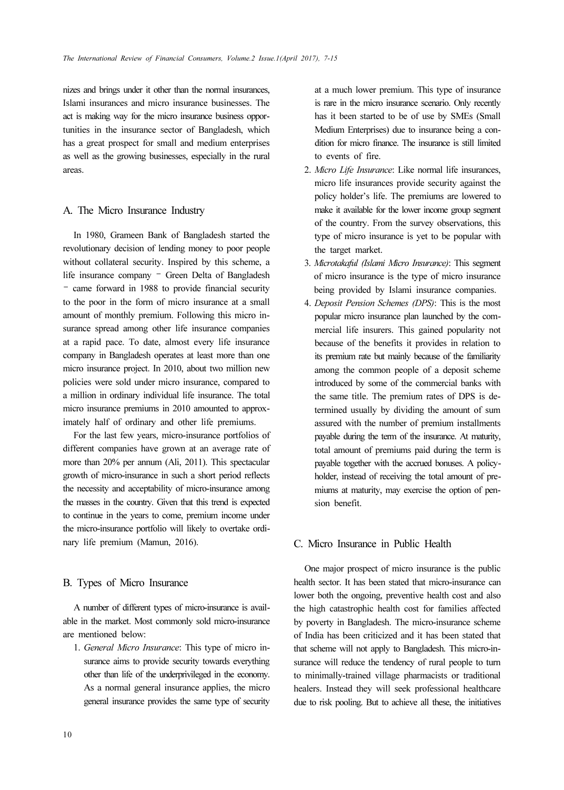nizes and brings under it other than the normal insurances, Islami insurances and micro insurance businesses. The act is making way for the micro insurance business opportunities in the insurance sector of Bangladesh, which has a great prospect for small and medium enterprises as well as the growing businesses, especially in the rural areas.

#### A. The Micro Insurance Industry

In 1980, Grameen Bank of Bangladesh started the revolutionary decision of lending money to poor people without collateral security. Inspired by this scheme, a life insurance company – Green Delta of Bangladesh – came forward in 1988 to provide financial security to the poor in the form of micro insurance at a small amount of monthly premium. Following this micro insurance spread among other life insurance companies at a rapid pace. To date, almost every life insurance company in Bangladesh operates at least more than one micro insurance project. In 2010, about two million new policies were sold under micro insurance, compared to a million in ordinary individual life insurance. The total micro insurance premiums in 2010 amounted to approximately half of ordinary and other life premiums.

For the last few years, micro-insurance portfolios of different companies have grown at an average rate of more than 20% per annum (Ali, 2011). This spectacular growth of micro-insurance in such a short period reflects the necessity and acceptability of micro-insurance among the masses in the country. Given that this trend is expected to continue in the years to come, premium income under the micro-insurance portfolio will likely to overtake ordinary life premium (Mamun, 2016).

### B. Types of Micro Insurance

A number of different types of micro-insurance is available in the market. Most commonly sold micro-insurance are mentioned below:

1. General Micro Insurance: This type of micro insurance aims to provide security towards everything other than life of the underprivileged in the economy. As a normal general insurance applies, the micro general insurance provides the same type of security at a much lower premium. This type of insurance is rare in the micro insurance scenario. Only recently has it been started to be of use by SMEs (Small Medium Enterprises) due to insurance being a condition for micro finance. The insurance is still limited to events of fire.

- 2. Micro Life Insurance: Like normal life insurances, micro life insurances provide security against the policy holder's life. The premiums are lowered to make it available for the lower income group segment of the country. From the survey observations, this type of micro insurance is yet to be popular with the target market.
- 3. Microtakaful (Islami Micro Insurance): This segment of micro insurance is the type of micro insurance being provided by Islami insurance companies.
- 4. Deposit Pension Schemes (DPS): This is the most popular micro insurance plan launched by the commercial life insurers. This gained popularity not because of the benefits it provides in relation to its premium rate but mainly because of the familiarity among the common people of a deposit scheme introduced by some of the commercial banks with the same title. The premium rates of DPS is determined usually by dividing the amount of sum assured with the number of premium installments payable during the term of the insurance. At maturity, total amount of premiums paid during the term is payable together with the accrued bonuses. A policyholder, instead of receiving the total amount of premiums at maturity, may exercise the option of pension benefit.

#### C. Micro Insurance in Public Health

One major prospect of micro insurance is the public health sector. It has been stated that micro-insurance can lower both the ongoing, preventive health cost and also the high catastrophic health cost for families affected by poverty in Bangladesh. The micro-insurance scheme of India has been criticized and it has been stated that that scheme will not apply to Bangladesh. This micro-insurance will reduce the tendency of rural people to turn to minimally-trained village pharmacists or traditional healers. Instead they will seek professional healthcare due to risk pooling. But to achieve all these, the initiatives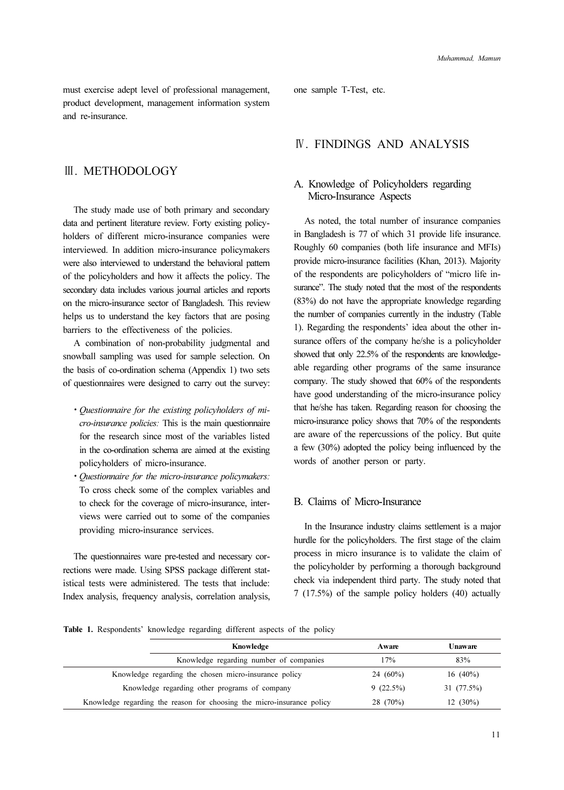must exercise adept level of professional management, product development, management information system and re-insurance.

## Ⅲ. METHODOLOGY

The study made use of both primary and secondary data and pertinent literature review. Forty existing policyholders of different micro-insurance companies were interviewed. In addition micro-insurance policymakers were also interviewed to understand the behavioral pattern of the policyholders and how it affects the policy. The secondary data includes various journal articles and reports on the micro-insurance sector of Bangladesh. This review helps us to understand the key factors that are posing barriers to the effectiveness of the policies.

A combination of non-probability judgmental and snowball sampling was used for sample selection. On the basis of co-ordination schema (Appendix 1) two sets of questionnaires were designed to carry out the survey:

- Questionnaire for the existing policyholders of micro-insurance policies: This is the main questionnaire for the research since most of the variables listed in the co-ordination schema are aimed at the existing policyholders of micro-insurance.
- Questionnaire for the micro-insurance policymakers: To cross check some of the complex variables and to check for the coverage of micro-insurance, interviews were carried out to some of the companies providing micro-insurance services.

The questionnaires ware pre-tested and necessary corrections were made. Using SPSS package different statistical tests were administered. The tests that include: Index analysis, frequency analysis, correlation analysis, one sample T-Test, etc.

## Ⅳ. FINDINGS AND ANALYSIS

### A. Knowledge of Policyholders regarding Micro-Insurance Aspects

As noted, the total number of insurance companies in Bangladesh is 77 of which 31 provide life insurance. Roughly 60 companies (both life insurance and MFIs) provide micro-insurance facilities (Khan, 2013). Majority of the respondents are policyholders of "micro life insurance". The study noted that the most of the respondents (83%) do not have the appropriate knowledge regarding the number of companies currently in the industry (Table 1). Regarding the respondents' idea about the other insurance offers of the company he/she is a policyholder showed that only 22.5% of the respondents are knowledgeable regarding other programs of the same insurance company. The study showed that 60% of the respondents have good understanding of the micro-insurance policy that he/she has taken. Regarding reason for choosing the micro-insurance policy shows that 70% of the respondents are aware of the repercussions of the policy. But quite a few (30%) adopted the policy being influenced by the words of another person or party.

### B. Claims of Micro-Insurance

In the Insurance industry claims settlement is a major hurdle for the policyholders. The first stage of the claim process in micro insurance is to validate the claim of the policyholder by performing a thorough background check via independent third party. The study noted that 7 (17.5%) of the sample policy holders (40) actually

Table 1. Respondents' knowledge regarding different aspects of the policy

| Knowledge                                                              | Aware    | Unaware    |
|------------------------------------------------------------------------|----------|------------|
| Knowledge regarding number of companies                                | 17%      | 83%        |
| Knowledge regarding the chosen micro-insurance policy                  | 24 (60%) | $16(40\%)$ |
| Knowledge regarding other programs of company                          | 9(22.5%) | 31 (77.5%) |
| Knowledge regarding the reason for choosing the micro-insurance policy | 28 (70%) | $12(30\%)$ |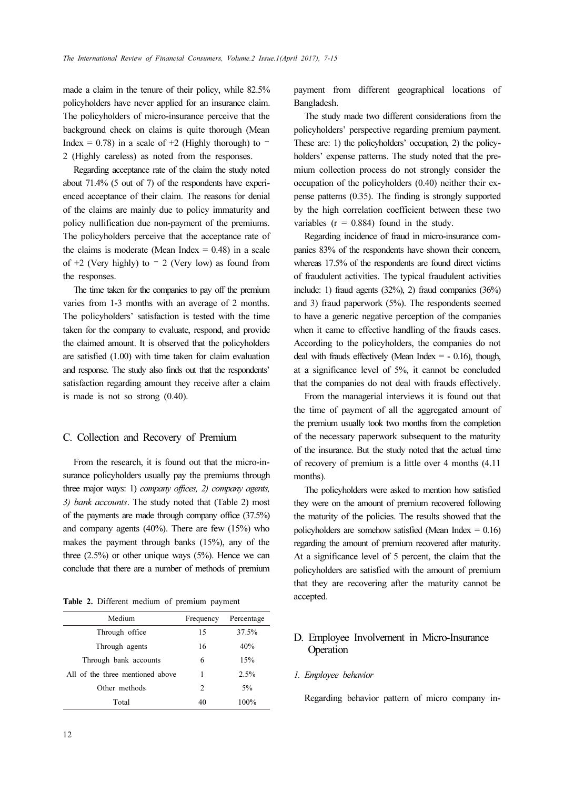made a claim in the tenure of their policy, while 82.5% policyholders have never applied for an insurance claim. The policyholders of micro-insurance perceive that the background check on claims is quite thorough (Mean Index = 0.78) in a scale of  $+2$  (Highly thorough) to  $-$ 2 (Highly careless) as noted from the responses.

Regarding acceptance rate of the claim the study noted about 71.4% (5 out of 7) of the respondents have experienced acceptance of their claim. The reasons for denial of the claims are mainly due to policy immaturity and policy nullification due non-payment of the premiums. The policyholders perceive that the acceptance rate of the claims is moderate (Mean Index  $= 0.48$ ) in a scale of  $+2$  (Very highly) to  $-2$  (Very low) as found from the responses.

The time taken for the companies to pay off the premium varies from 1-3 months with an average of 2 months. The policyholders' satisfaction is tested with the time taken for the company to evaluate, respond, and provide the claimed amount. It is observed that the policyholders are satisfied (1.00) with time taken for claim evaluation and response. The study also finds out that the respondents' satisfaction regarding amount they receive after a claim is made is not so strong (0.40).

#### C. Collection and Recovery of Premium

From the research, it is found out that the micro-insurance policyholders usually pay the premiums through three major ways: 1) company offices, 2) company agents, 3) bank accounts. The study noted that (Table 2) most of the payments are made through company office (37.5%) and company agents (40%). There are few (15%) who makes the payment through banks (15%), any of the three  $(2.5\%)$  or other unique ways  $(5\%)$ . Hence we can conclude that there are a number of methods of premium

Table 2. Different medium of premium payment

| Medium                           | Frequency      | Percentage |
|----------------------------------|----------------|------------|
| Through office                   | 15             | 37.5%      |
| Through agents                   | 16             | 40%        |
| Through bank accounts            | 6              | 15%        |
| All of the three mentioned above |                | 2.5%       |
| Other methods                    | $\mathfrak{D}$ | 5%         |
| Total                            | 40             | 100%       |

payment from different geographical locations of Bangladesh.

The study made two different considerations from the policyholders' perspective regarding premium payment. These are: 1) the policyholders' occupation, 2) the policyholders' expense patterns. The study noted that the premium collection process do not strongly consider the occupation of the policyholders (0.40) neither their expense patterns (0.35). The finding is strongly supported by the high correlation coefficient between these two variables  $(r = 0.884)$  found in the study.

Regarding incidence of fraud in micro-insurance companies 83% of the respondents have shown their concern, whereas 17.5% of the respondents are found direct victims of fraudulent activities. The typical fraudulent activities include: 1) fraud agents (32%), 2) fraud companies (36%) and 3) fraud paperwork (5%). The respondents seemed to have a generic negative perception of the companies when it came to effective handling of the frauds cases. According to the policyholders, the companies do not deal with frauds effectively (Mean Index  $=$  - 0.16), though, at a significance level of 5%, it cannot be concluded that the companies do not deal with frauds effectively.

From the managerial interviews it is found out that the time of payment of all the aggregated amount of the premium usually took two months from the completion of the necessary paperwork subsequent to the maturity of the insurance. But the study noted that the actual time of recovery of premium is a little over 4 months (4.11 months).

The policyholders were asked to mention how satisfied they were on the amount of premium recovered following the maturity of the policies. The results showed that the policyholders are somehow satisfied (Mean Index = 0.16) regarding the amount of premium recovered after maturity. At a significance level of 5 percent, the claim that the policyholders are satisfied with the amount of premium that they are recovering after the maturity cannot be accepted.

## D. Employee Involvement in Micro-Insurance Operation

#### 1. Employee behavior

Regarding behavior pattern of micro company in-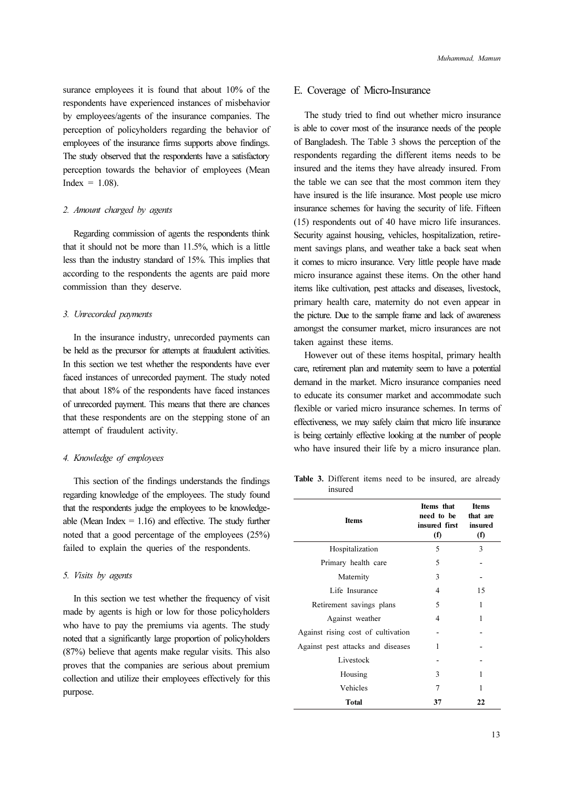surance employees it is found that about 10% of the respondents have experienced instances of misbehavior by employees/agents of the insurance companies. The perception of policyholders regarding the behavior of employees of the insurance firms supports above findings. The study observed that the respondents have a satisfactory perception towards the behavior of employees (Mean  $Index = 1.08$ ).

#### 2. Amount charged by agents

Regarding commission of agents the respondents think that it should not be more than 11.5%, which is a little less than the industry standard of 15%. This implies that according to the respondents the agents are paid more commission than they deserve.

### 3. Unrecorded payments

In the insurance industry, unrecorded payments can be held as the precursor for attempts at fraudulent activities. In this section we test whether the respondents have ever faced instances of unrecorded payment. The study noted that about 18% of the respondents have faced instances of unrecorded payment. This means that there are chances that these respondents are on the stepping stone of an attempt of fraudulent activity.

#### 4. Knowledge of employees

This section of the findings understands the findings regarding knowledge of the employees. The study found that the respondents judge the employees to be knowledgeable (Mean Index  $= 1.16$ ) and effective. The study further noted that a good percentage of the employees (25%) failed to explain the queries of the respondents.

#### 5. Visits by agents

In this section we test whether the frequency of visit made by agents is high or low for those policyholders who have to pay the premiums via agents. The study noted that a significantly large proportion of policyholders (87%) believe that agents make regular visits. This also proves that the companies are serious about premium collection and utilize their employees effectively for this purpose.

#### E. Coverage of Micro-Insurance

The study tried to find out whether micro insurance is able to cover most of the insurance needs of the people of Bangladesh. The Table 3 shows the perception of the respondents regarding the different items needs to be insured and the items they have already insured. From the table we can see that the most common item they have insured is the life insurance. Most people use micro insurance schemes for having the security of life. Fifteen (15) respondents out of 40 have micro life insurances. Security against housing, vehicles, hospitalization, retirement savings plans, and weather take a back seat when it comes to micro insurance. Very little people have made micro insurance against these items. On the other hand items like cultivation, pest attacks and diseases, livestock, primary health care, maternity do not even appear in the picture. Due to the sample frame and lack of awareness amongst the consumer market, micro insurances are not taken against these items.

However out of these items hospital, primary health care, retirement plan and maternity seem to have a potential demand in the market. Micro insurance companies need to educate its consumer market and accommodate such flexible or varied micro insurance schemes. In terms of effectiveness, we may safely claim that micro life insurance is being certainly effective looking at the number of people who have insured their life by a micro insurance plan.

Table 3. Different items need to be insured, are already insured

| <b>Items</b>                       | Items that<br>need to be<br>insured first<br>(f) | Items<br>that are<br>insured<br>(f) |  |
|------------------------------------|--------------------------------------------------|-------------------------------------|--|
| Hospitalization                    | 5                                                | 3                                   |  |
| Primary health care                | 5                                                |                                     |  |
| Maternity                          | 3                                                |                                     |  |
| Life Insurance                     | 4                                                | 15<br>1                             |  |
| Retirement savings plans           | 5                                                |                                     |  |
| Against weather                    | 4                                                | 1                                   |  |
| Against rising cost of cultivation |                                                  |                                     |  |
| Against pest attacks and diseases  | 1                                                |                                     |  |
| Livestock                          |                                                  |                                     |  |
| Housing                            | 3                                                | 1                                   |  |
| Vehicles                           | 7                                                | 1                                   |  |
| <b>Total</b>                       | 37                                               | 22                                  |  |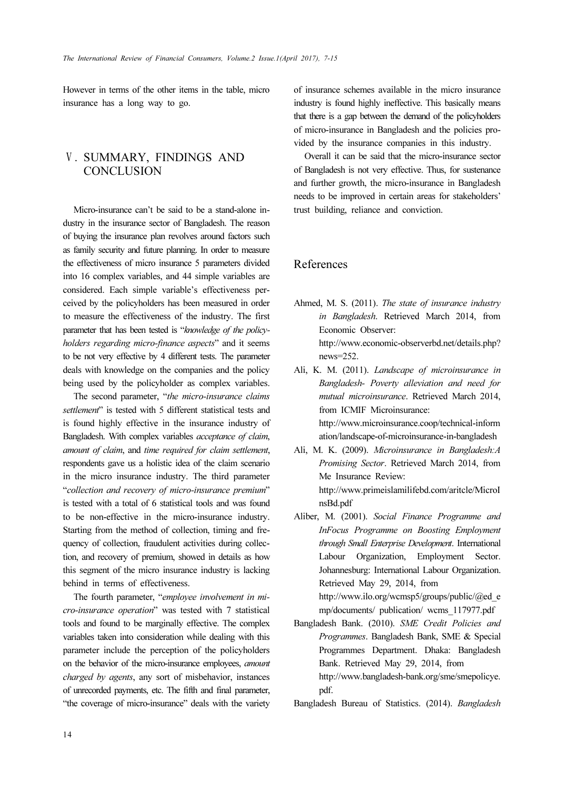However in terms of the other items in the table, micro insurance has a long way to go.

## Ⅴ. SUMMARY, FINDINGS AND **CONCLUSION**

Micro-insurance can't be said to be a stand-alone industry in the insurance sector of Bangladesh. The reason of buying the insurance plan revolves around factors such as family security and future planning. In order to measure the effectiveness of micro insurance 5 parameters divided into 16 complex variables, and 44 simple variables are considered. Each simple variable's effectiveness perceived by the policyholders has been measured in order to measure the effectiveness of the industry. The first parameter that has been tested is "knowledge of the policyholders regarding micro-finance aspects" and it seems to be not very effective by 4 different tests. The parameter deals with knowledge on the companies and the policy being used by the policyholder as complex variables.

The second parameter, "the micro-insurance claims settlement" is tested with 5 different statistical tests and is found highly effective in the insurance industry of Bangladesh. With complex variables acceptance of claim, amount of claim, and time required for claim settlement, respondents gave us a holistic idea of the claim scenario in the micro insurance industry. The third parameter "collection and recovery of micro-insurance premium" is tested with a total of 6 statistical tools and was found to be non-effective in the micro-insurance industry. Starting from the method of collection, timing and frequency of collection, fraudulent activities during collection, and recovery of premium, showed in details as how this segment of the micro insurance industry is lacking behind in terms of effectiveness.

The fourth parameter, "employee involvement in micro-insurance operation" was tested with 7 statistical tools and found to be marginally effective. The complex variables taken into consideration while dealing with this parameter include the perception of the policyholders on the behavior of the micro-insurance employees, amount charged by agents, any sort of misbehavior, instances of unrecorded payments, etc. The fifth and final parameter, "the coverage of micro-insurance" deals with the variety of insurance schemes available in the micro insurance industry is found highly ineffective. This basically means that there is a gap between the demand of the policyholders of micro-insurance in Bangladesh and the policies provided by the insurance companies in this industry.

Overall it can be said that the micro-insurance sector of Bangladesh is not very effective. Thus, for sustenance and further growth, the micro-insurance in Bangladesh needs to be improved in certain areas for stakeholders' trust building, reliance and conviction.

## References

- Ahmed, M. S. (2011). The state of insurance industry in Bangladesh. Retrieved March 2014, from Economic Observer: http://www.economic-observerbd.net/details.php? news=252.
- Ali, K. M. (2011). Landscape of microinsurance in Bangladesh- Poverty alleviation and need for mutual microinsurance. Retrieved March 2014, from ICMIF Microinsurance: http://www.microinsurance.coop/technical-inform ation/landscape-of-microinsurance-in-bangladesh
- Ali, M. K. (2009). Microinsurance in Bangladesh:A Promising Sector. Retrieved March 2014, from Me Insurance Review: http://www.primeislamilifebd.com/aritcle/MicroI nsBd.pdf
- Aliber, M. (2001). Social Finance Programme and InFocus Programme on Boosting Employment through Small Enterprise Development. International Labour Organization, Employment Sector. Johannesburg: International Labour Organization. Retrieved May 29, 2014, from http://www.ilo.org/wcmsp5/groups/public/@ed\_e
- mp/documents/ publication/ wcms\_117977.pdf Bangladesh Bank. (2010). SME Credit Policies and
	- Programmes. Bangladesh Bank, SME & Special Programmes Department. Dhaka: Bangladesh Bank. Retrieved May 29, 2014, from http://www.bangladesh-bank.org/sme/smepolicye. pdf.

Bangladesh Bureau of Statistics. (2014). Bangladesh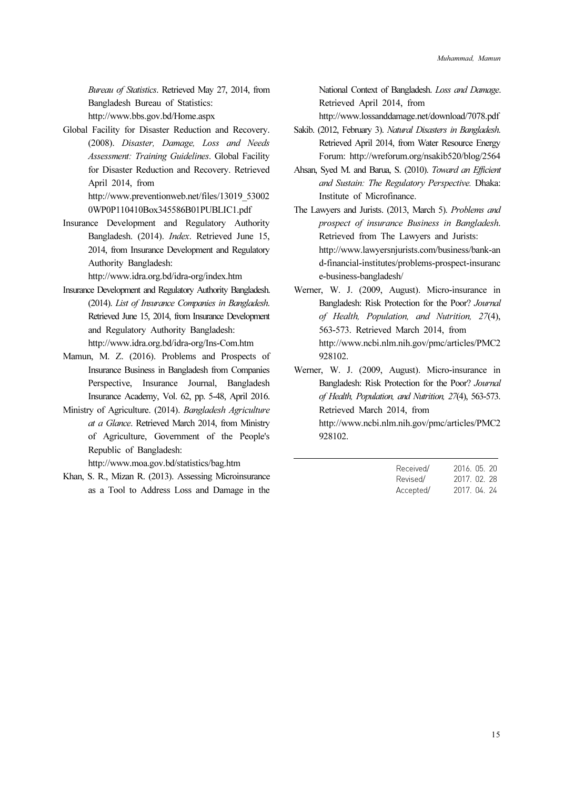Bureau of Statistics. Retrieved May 27, 2014, from Bangladesh Bureau of Statistics: http://www.bbs.gov.bd/Home.aspx

Global Facility for Disaster Reduction and Recovery. (2008). Disaster, Damage, Loss and Needs Assessment: Training Guidelines. Global Facility for Disaster Reduction and Recovery. Retrieved April 2014, from http://www.preventionweb.net/files/13019\_53002

0WP0P110410Box345586B01PUBLIC1.pdf

Insurance Development and Regulatory Authority Bangladesh. (2014). Index. Retrieved June 15, 2014, from Insurance Development and Regulatory Authority Bangladesh:

http://www.idra.org.bd/idra-org/index.htm

- Insurance Development and Regulatory Authority Bangladesh. (2014). List of Insurance Companies in Bangladesh. Retrieved June 15, 2014, from Insurance Development and Regulatory Authority Bangladesh: http://www.idra.org.bd/idra-org/Ins-Com.htm
- Mamun, M. Z. (2016). Problems and Prospects of Insurance Business in Bangladesh from Companies Perspective, Insurance Journal, Bangladesh Insurance Academy, Vol. 62, pp. 5-48, April 2016.
- Ministry of Agriculture. (2014). Bangladesh Agriculture at a Glance. Retrieved March 2014, from Ministry of Agriculture, Government of the People's Republic of Bangladesh:

http://www.moa.gov.bd/statistics/bag.htm

Khan, S. R., Mizan R. (2013). Assessing Microinsurance as a Tool to Address Loss and Damage in the National Context of Bangladesh. Loss and Damage. Retrieved April 2014, from

http://www.lossanddamage.net/download/7078.pdf

- Sakib. (2012, February 3). Natural Disasters in Bangladesh. Retrieved April 2014, from Water Resource Energy Forum: http://wreforum.org/nsakib520/blog/2564
- Ahsan, Syed M. and Barua, S. (2010). Toward an Efficient and Sustain: The Regulatory Perspective. Dhaka: Institute of Microfinance.
- The Lawyers and Jurists. (2013, March 5). Problems and prospect of insurance Business in Bangladesh. Retrieved from The Lawyers and Jurists: http://www.lawyersnjurists.com/business/bank-an d-financial-institutes/problems-prospect-insuranc e-business-bangladesh/
- Werner, W. J. (2009, August). Micro-insurance in Bangladesh: Risk Protection for the Poor? Journal of Health, Population, and Nutrition, 27(4), 563-573. Retrieved March 2014, from http://www.ncbi.nlm.nih.gov/pmc/articles/PMC2 928102.
- Werner, W. J. (2009, August). Micro-insurance in Bangladesh: Risk Protection for the Poor? Journal of Health, Population, and Nutrition, 27(4), 563-573. Retrieved March 2014, from http://www.ncbi.nlm.nih.gov/pmc/articles/PMC2

928102.

| Received/ | 2016. 05. 20 |  |
|-----------|--------------|--|
| Revised/  | 2017. 02. 28 |  |
| Accepted/ | 2017. 04. 24 |  |